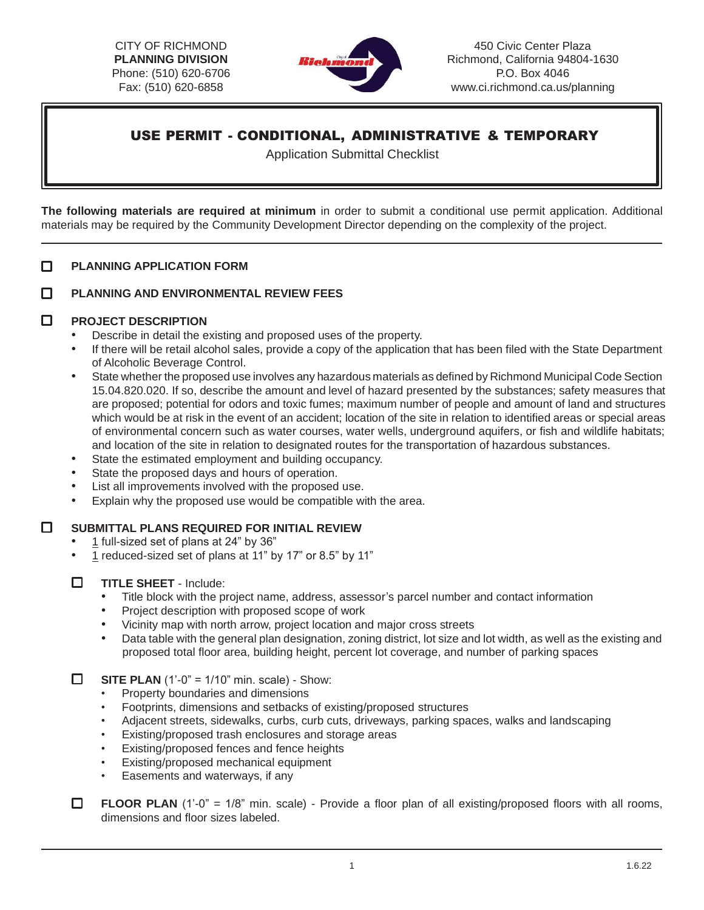CITY OF RICHMOND **PLANNING DIVISION**  Phone: (510) 620-6706 Fax: (510) 620-6858



450 Civic Center Plaza Richmond, California 94804-1630 P.O. Box 404[6](http://www.ci.richmond.ca.us/planning) [www.ci.richmond.ca.us/planning](http://www.ci.richmond.ca.us/planning)

# USE PERMIT - CONDITIONAL, ADMINISTRATIVE & TEMPORARY

Application Submittal Checklist

**The following materials are required at minimum** in order to submit a conditional use permit application. Additional materials may be required by the Community Development Director depending on the complexity of the project.

## □ **PLANNING APPLICATION FORM**

#### **PLANNING AND ENVIRONMENTAL REVIEW FEES**  п

## $\Box$ **PROJECT DESCRIPTION**

- Describe in detail the existing and proposed uses of the property.
- If there will be retail alcohol sales, provide a copy of the application that has been filed with the State Department of Alcoholic Beverage Control.
- State whether the proposed use involves any hazardous materials as defined by Richmond Municipal Code Section 15.04.820.020. If so, describe the amount and level of hazard presented by the substances; safety measures that are proposed; potential for odors and toxic fumes; maximum number of people and amount of land and structures which would be at risk in the event of an accident; location of the site in relation to identified areas or special areas of environmental concern such as water courses, water wells, underground aquifers, or fish and wildlife habitats; and location of the site in relation to designated routes for the transportation of hazardous substances.
- State the estimated employment and building occupancy.
- State the proposed days and hours of operation.
- List all improvements involved with the proposed use.
- Explain why the proposed use would be compatible with the area.

# $\Box$ **SUBMITTAL PLANS REQUIRED FOR INITIAL REVIEW**

- 1 full-sized set of plans at 24" by 36"
- 1 reduced-sized set of plans at 11" by 17" or 8.5" by 11"
- $\Box$ **TITLE SHEET** - Include:
	- Title block with the project name, address, assessor's parcel number and contact information
	- Project description with proposed scope of work
	- Vicinity map with north arrow, project location and major cross streets
	- Data table with the general plan designation, zoning district, lot size and lot width, as well as the existing and proposed total floor area, building height, percent lot coverage, and number of parking spaces

 $\Box$ **SITE PLAN** (1'-0" = 1/10" min. scale) - Show:

- Property boundaries and dimensions
- Footprints, dimensions and setbacks of existing/proposed structures
- Adjacent streets, sidewalks, curbs, curb cuts, driveways, parking spaces, walks and landscaping
- Existing/proposed trash enclosures and storage areas
- Existing/proposed fences and fence heights
- Existing/proposed mechanical equipment
- Easements and waterways, if any
- $\Box$ **FLOOR PLAN** (1'-0" = 1/8" min. scale) - Provide a floor plan of all existing/proposed floors with all rooms, dimensions and floor sizes labeled.